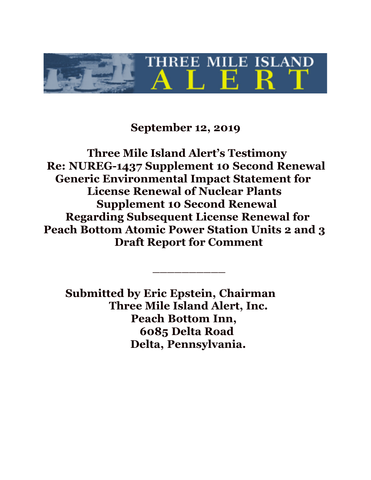

# **September 12, 2019**

**Three Mile Island Alert's Testimony Re: NUREG-1437 Supplement 10 Second Renewal Generic Environmental Impact Statement for License Renewal of Nuclear Plants Supplement 10 Second Renewal Regarding Subsequent License Renewal for Peach Bottom Atomic Power Station Units 2 and 3 Draft Report for Comment**

\_\_\_\_\_\_\_\_\_\_

**Submitted by Eric Epstein, Chairman Three Mile Island Alert, Inc. Peach Bottom Inn, 6085 Delta Road Delta, Pennsylvania.**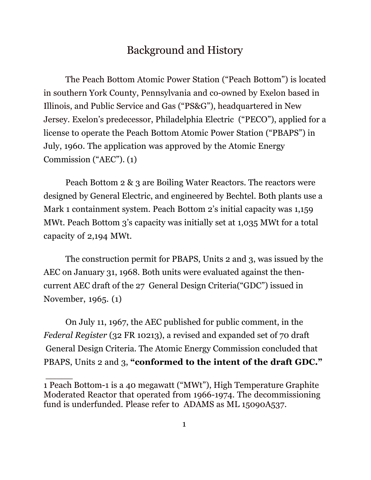## Background and History

 The Peach Bottom Atomic Power Station ("Peach Bottom") is located in southern York County, Pennsylvania and co-owned by Exelon based in Illinois, and Public Service and Gas ("PS&G"), headquartered in New Jersey. Exelon's predecessor, Philadelphia Electric ("PECO"), applied for a license to operate the Peach Bottom Atomic Power Station ("PBAPS") in July, 1960. The application was approved by the Atomic Energy Commission ("AEC"). (1)

Peach Bottom 2 & 3 are Boiling Water Reactors. The reactors were designed by General Electric, and engineered by Bechtel. Both plants use a Mark 1 containment system. Peach Bottom 2's initial capacity was 1,159 MWt. Peach Bottom 3's capacity was initially set at 1,035 MWt for a total capacity of 2,194 MWt.

The construction permit for PBAPS, Units 2 and 3, was issued by the AEC on January 31, 1968. Both units were evaluated against the thencurrent AEC draft of the 27 General Design Criteria("GDC") issued in November, 1965. (1)

On July 11, 1967, the AEC published for public comment, in the *Federal Register* (32 FR 10213), a revised and expanded set of 70 draft General Design Criteria. The Atomic Energy Commission concluded that PBAPS, Units 2 and 3, **"conformed to the intent of the draft GDC."**

 $\overline{\phantom{a}}$ 

<sup>1</sup> Peach Bottom-1 is a 40 megawatt ("MWt"), High Temperature Graphite Moderated Reactor that operated from 1966-1974. The decommissioning fund is underfunded. Please refer to ADAMS as ML 15090A537.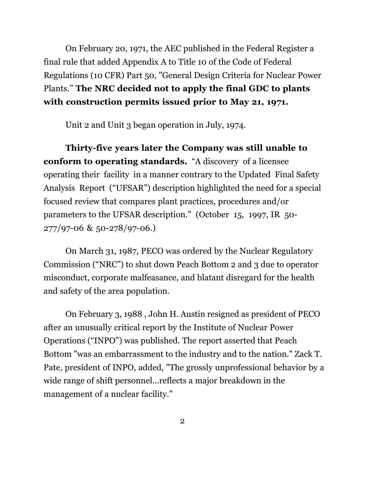On February 20, 1971, the AEC published in the Federal Register a final rule that added Appendix A to Title 10 of the Code of Federal Regulations (10 CFR) Part 50, "General Design Criteria for Nuclear Power Plants." **The NRC decided not to apply the final GDC to plants with construction permits issued prior to May 21, 1971.**

Unit 2 and Unit 3 began operation in July, 1974.

**Thirty-five years later the Company was still unable to conform to operating standards.** "A discovery of a licensee operating their facility in a manner contrary to the Updated Final Safety Analysis Report ("UFSAR") description highlighted the need for a special focused review that compares plant practices, procedures and/or parameters to the UFSAR description." (October 15, 1997, IR 50- 277/97-06 & 50-278/97-06.)

 On March 31, 1987, PECO was ordered by the Nuclear Regulatory Commission ("NRC") to shut down Peach Bottom 2 and 3 due to operator misconduct, corporate malfeasance, and blatant disregard for the health and safety of the area population.

On February 3, 1988 , John H. Austin resigned as president of PECO after an unusually critical report by the Institute of Nuclear Power Operations ("INPO") was published. The report asserted that Peach Bottom "was an embarrassment to the industry and to the nation." Zack T. Pate, president of INPO, added, "The grossly unprofessional behavior by a wide range of shift personnel...reflects a major breakdown in the management of a nuclear facility."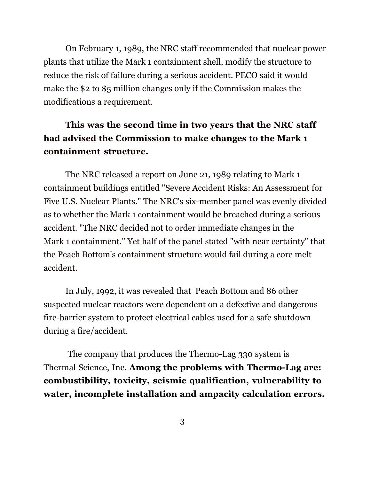On February 1, 1989, the NRC staff recommended that nuclear power plants that utilize the Mark 1 containment shell, modify the structure to reduce the risk of failure during a serious accident. PECO said it would make the \$2 to \$5 million changes only if the Commission makes the modifications a requirement.

# **This was the second time in two years that the NRC staff had advised the Commission to make changes to the Mark 1 containment structure.**

The NRC released a report on June 21, 1989 relating to Mark 1 containment buildings entitled "Severe Accident Risks: An Assessment for Five U.S. Nuclear Plants." The NRC's six-member panel was evenly divided as to whether the Mark 1 containment would be breached during a serious accident. "The NRC decided not to order immediate changes in the Mark 1 containment." Yet half of the panel stated "with near certainty" that the Peach Bottom's containment structure would fail during a core melt accident.

In July, 1992, it was revealed that Peach Bottom and 86 other suspected nuclear reactors were dependent on a defective and dangerous fire-barrier system to protect electrical cables used for a safe shutdown during a fire/accident.

The company that produces the Thermo-Lag 330 system is Thermal Science, Inc. **Among the problems with Thermo-Lag are: combustibility, toxicity, seismic qualification, vulnerability to water, incomplete installation and ampacity calculation errors.**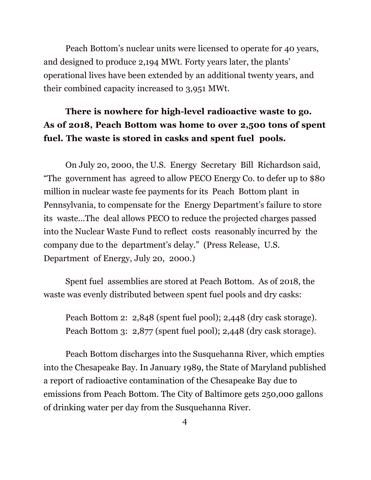Peach Bottom's nuclear units were licensed to operate for 40 years, and designed to produce 2,194 MWt. Forty years later, the plants' operational lives have been extended by an additional twenty years, and their combined capacity increased to 3,951 MWt.

# **There is nowhere for high-level radioactive waste to go. As of 2018, Peach Bottom was home to over 2,500 tons of spent fuel. The waste is stored in casks and spent fuel pools.**

 On July 20, 2000, the U.S. Energy Secretary Bill Richardson said, "The government has agreed to allow PECO Energy Co. to defer up to \$80 million in nuclear waste fee payments for its Peach Bottom plant in Pennsylvania, to compensate for the Energy Department's failure to store its waste...The deal allows PECO to reduce the projected charges passed into the Nuclear Waste Fund to reflect costs reasonably incurred by the company due to the department's delay." (Press Release, U.S. Department of Energy, July 20, 2000.)

Spent fuel assemblies are stored at Peach Bottom. As of 2018, the waste was evenly distributed between spent fuel pools and dry casks:

Peach Bottom 2: 2,848 (spent fuel pool); 2,448 (dry cask storage). Peach Bottom 3: 2,877 (spent fuel pool); 2,448 (dry cask storage).

Peach Bottom discharges into the Susquehanna River, which empties into the Chesapeake Bay. In January 1989, the State of Maryland published a report of radioactive contamination of the Chesapeake Bay due to emissions from Peach Bottom. The City of Baltimore gets 250,000 gallons of drinking water per day from the Susquehanna River.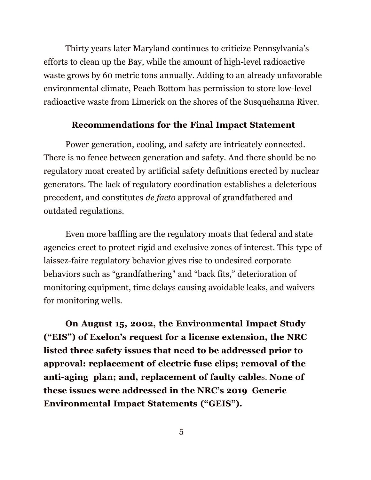Thirty years later Maryland continues to criticize Pennsylvania's efforts to clean up the Bay, while the amount of high-level radioactive waste grows by 60 metric tons annually. Adding to an already unfavorable environmental climate, Peach Bottom has permission to store low-level radioactive waste from Limerick on the shores of the Susquehanna River.

#### **Recommendations for the Final Impact Statement**

Power generation, cooling, and safety are intricately connected. There is no fence between generation and safety. And there should be no regulatory moat created by artificial safety definitions erected by nuclear generators. The lack of regulatory coordination establishes a deleterious precedent, and constitutes *de facto* approval of grandfathered and outdated regulations.

Even more baffling are the regulatory moats that federal and state agencies erect to protect rigid and exclusive zones of interest. This type of laissez-faire regulatory behavior gives rise to undesired corporate behaviors such as "grandfathering" and "back fits," deterioration of monitoring equipment, time delays causing avoidable leaks, and waivers for monitoring wells.

**On August 15, 2002, the Environmental Impact Study ("EIS") of Exelon's request for a license extension, the NRC listed three safety issues that need to be addressed prior to approval: replacement of electric fuse clips; removal of the anti-aging plan; and, replacement of faulty cable**s. **None of these issues were addressed in the NRC's 2019 Generic Environmental Impact Statements ("GEIS").**

5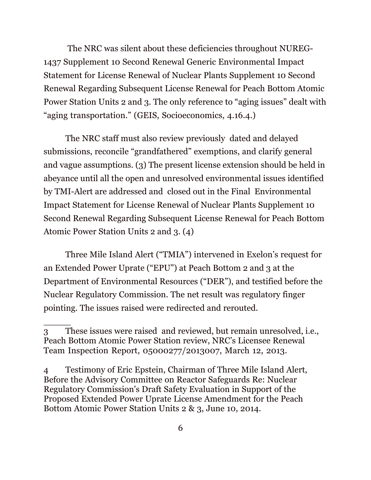The NRC was silent about these deficiencies throughout NUREG-1437 Supplement 10 Second Renewal Generic Environmental Impact Statement for License Renewal of Nuclear Plants Supplement 10 Second Renewal Regarding Subsequent License Renewal for Peach Bottom Atomic Power Station Units 2 and 3. The only reference to "aging issues" dealt with "aging transportation." (GEIS, Socioeconomics, 4.16.4.)

The NRC staff must also review previously dated and delayed submissions, reconcile "grandfathered" exemptions, and clarify general and vague assumptions. (3) The present license extension should be held in abeyance until all the open and unresolved environmental issues identified by TMI-Alert are addressed and closed out in the Final Environmental Impact Statement for License Renewal of Nuclear Plants Supplement 10 Second Renewal Regarding Subsequent License Renewal for Peach Bottom Atomic Power Station Units 2 and 3. (4)

 Three Mile Island Alert ("TMIA") intervened in Exelon's request for an Extended Power Uprate ("EPU") at Peach Bottom 2 and 3 at the Department of Environmental Resources ("DER"), and testified before the Nuclear Regulatory Commission. The net result was regulatory finger pointing. The issues raised were redirected and rerouted.

 $\overline{\phantom{a}}$ 

<sup>3</sup> These issues were raised and reviewed, but remain unresolved, i.e., Peach Bottom Atomic Power Station review, NRC's Licensee Renewal Team Inspection Report, 05000277/2013007, March 12, 2013.

<sup>4</sup> Testimony of Eric Epstein, Chairman of Three Mile Island Alert, Before the Advisory Committee on Reactor Safeguards Re: Nuclear Regulatory Commission's Draft Safety Evaluation in Support of the Proposed Extended Power Uprate License Amendment for the Peach Bottom Atomic Power Station Units 2 & 3, June 10, 2014.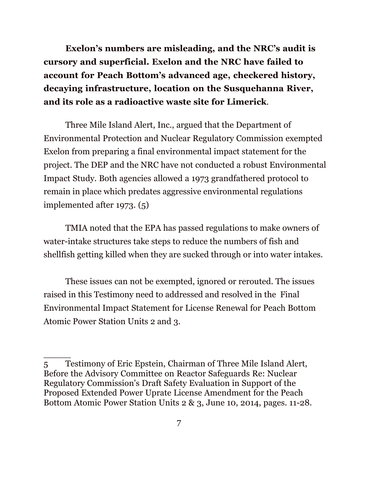**Exelon's numbers are misleading, and the NRC's audit is cursory and superficial. Exelon and the NRC have failed to account for Peach Bottom's advanced age, checkered history, decaying infrastructure, location on the Susquehanna River, and its role as a radioactive waste site for Limerick**.

 Three Mile Island Alert, Inc., argued that the Department of Environmental Protection and Nuclear Regulatory Commission exempted Exelon from preparing a final environmental impact statement for the project. The DEP and the NRC have not conducted a robust Environmental Impact Study. Both agencies allowed a 1973 grandfathered protocol to remain in place which predates aggressive environmental regulations implemented after 1973. (5)

TMIA noted that the EPA has passed regulations to make owners of water-intake structures take steps to reduce the numbers of fish and shellfish getting killed when they are sucked through or into water intakes.

These issues can not be exempted, ignored or rerouted. The issues raised in this Testimony need to addressed and resolved in the Final Environmental Impact Statement for License Renewal for Peach Bottom Atomic Power Station Units 2 and 3.

 $\overline{\phantom{a}}$ 

<sup>5</sup> Testimony of Eric Epstein, Chairman of Three Mile Island Alert, Before the Advisory Committee on Reactor Safeguards Re: Nuclear Regulatory Commission's Draft Safety Evaluation in Support of the Proposed Extended Power Uprate License Amendment for the Peach Bottom Atomic Power Station Units 2 & 3, June 10, 2014, pages. 11-28.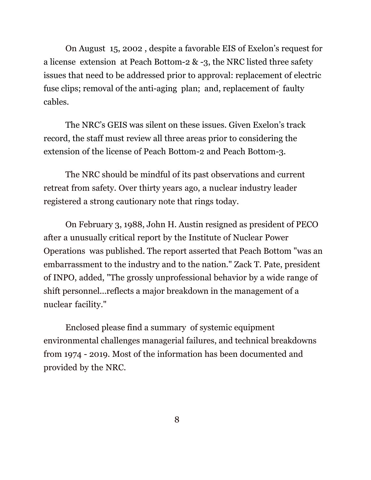On August 15, 2002 , despite a favorable EIS of Exelon's request for a license extension at Peach Bottom-2 & -3, the NRC listed three safety issues that need to be addressed prior to approval: replacement of electric fuse clips; removal of the anti-aging plan; and, replacement of faulty cables.

The NRC's GEIS was silent on these issues. Given Exelon's track record, the staff must review all three areas prior to considering the extension of the license of Peach Bottom-2 and Peach Bottom-3.

The NRC should be mindful of its past observations and current retreat from safety. Over thirty years ago, a nuclear industry leader registered a strong cautionary note that rings today.

On February 3, 1988, John H. Austin resigned as president of PECO after a unusually critical report by the Institute of Nuclear Power Operations was published. The report asserted that Peach Bottom "was an embarrassment to the industry and to the nation." Zack T. Pate, president of INPO, added, "The grossly unprofessional behavior by a wide range of shift personnel...reflects a major breakdown in the management of a nuclear facility."

Enclosed please find a summary of systemic equipment environmental challenges managerial failures, and technical breakdowns from 1974 - 2019. Most of the information has been documented and provided by the NRC.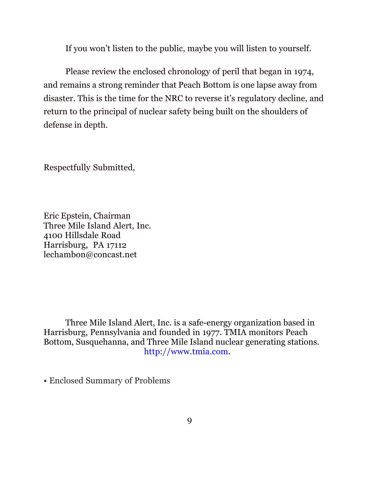If you won't listen to the public, maybe you will listen to yourself.

 Please review the enclosed chronology of peril that began in 1974, and remains a strong reminder that Peach Bottom is one lapse away from disaster. This is the time for the NRC to reverse it's regulatory decline, and return to the principal of nuclear safety being built on the shoulders of defense in depth.

Respectfully Submitted,

Eric Epstein, Chairman Three Mile Island Alert, Inc. 4100 Hillsdale Road Harrisburg, PA 17112 lechambon@concast.net

Three Mile Island Alert, Inc. is a safe-energy organization based in Harrisburg, Pennsylvania and founded in 1977. TMIA monitors Peach Bottom, Susquehanna, and Three Mile Island nuclear generating stations. http://www.tmia.com.

• Enclosed Summary of Problems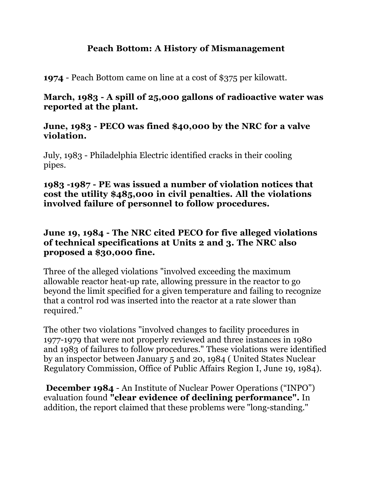## **Peach Bottom: A History of Mismanagement**

**1974** - Peach Bottom came on line at a cost of \$375 per kilowatt.

## **March, 1983 - A spill of 25,000 gallons of radioactive water was reported at the plant.**

## **June, 1983 - PECO was fined \$40,000 by the NRC for a valve violation.**

July, 1983 - Philadelphia Electric identified cracks in their cooling pipes.

### **1983 -1987 - PE was issued a number of violation notices that cost the utility \$485,000 in civil penalties. All the violations involved failure of personnel to follow procedures.**

## **June 19, 1984 - The NRC cited PECO for five alleged violations of technical specifications at Units 2 and 3. The NRC also proposed a \$30,000 fine.**

Three of the alleged violations "involved exceeding the maximum allowable reactor heat-up rate, allowing pressure in the reactor to go beyond the limit specified for a given temperature and failing to recognize that a control rod was inserted into the reactor at a rate slower than required."

The other two violations "involved changes to facility procedures in 1977-1979 that were not properly reviewed and three instances in 1980 and 1983 of failures to follow procedures." These violations were identified by an inspector between January 5 and 20, 1984 ( United States Nuclear Regulatory Commission, Office of Public Affairs Region I, June 19, 1984).

**December 1984** - An Institute of Nuclear Power Operations ("INPO") evaluation found **"clear evidence of declining performance".** In addition, the report claimed that these problems were "long-standing."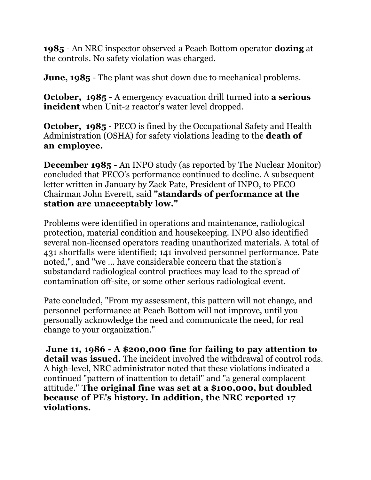**1985** - An NRC inspector observed a Peach Bottom operator **dozing** at the controls. No safety violation was charged.

**June, 1985** - The plant was shut down due to mechanical problems.

**October, 1985** - A emergency evacuation drill turned into **a serious incident** when Unit-2 reactor's water level dropped.

**October, 1985** - PECO is fined by the Occupational Safety and Health Administration (OSHA) for safety violations leading to the **death of an employee.**

**December 1985** - An INPO study (as reported by The Nuclear Monitor) concluded that PECO's performance continued to decline. A subsequent letter written in January by Zack Pate, President of INPO, to PECO Chairman John Everett, said **"standards of performance at the station are unacceptably low."**

Problems were identified in operations and maintenance, radiological protection, material condition and housekeeping. INPO also identified several non-licensed operators reading unauthorized materials. A total of 431 shortfalls were identified; 141 involved personnel performance. Pate noted,", and "we ... have considerable concern that the station's substandard radiological control practices may lead to the spread of contamination off-site, or some other serious radiological event.

Pate concluded, "From my assessment, this pattern will not change, and personnel performance at Peach Bottom will not improve, until you personally acknowledge the need and communicate the need, for real change to your organization."

**June 11, 1986 - A \$200,000 fine for failing to pay attention to detail was issued.** The incident involved the withdrawal of control rods. A high-level, NRC administrator noted that these violations indicated a continued "pattern of inattention to detail" and "a general complacent attitude." **The original fine was set at a \$100,000, but doubled because of PE's history. In addition, the NRC reported 17 violations.**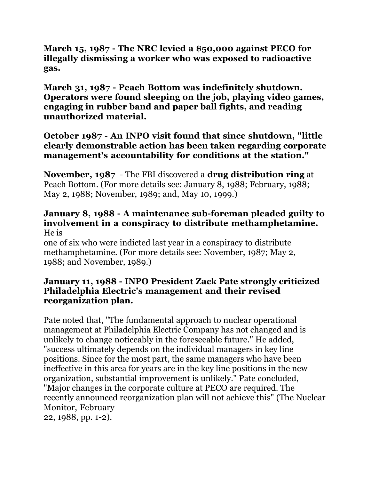**March 15, 1987 - The NRC levied a \$50,000 against PECO for illegally dismissing a worker who was exposed to radioactive gas.**

**March 31, 1987 - Peach Bottom was indefinitely shutdown. Operators were found sleeping on the job, playing video games, engaging in rubber band and paper ball fights, and reading unauthorized material.**

## **October 1987 - An INPO visit found that since shutdown, "little clearly demonstrable action has been taken regarding corporate management's accountability for conditions at the station."**

**November, 1987** - The FBI discovered a **drug distribution ring** at Peach Bottom. (For more details see: January 8, 1988; February, 1988; May 2, 1988; November, 1989; and, May 10, 1999.)

#### **January 8, 1988 - A maintenance sub-foreman pleaded guilty to involvement in a conspiracy to distribute methamphetamine.** He is

one of six who were indicted last year in a conspiracy to distribute methamphetamine. (For more details see: November, 1987; May 2, 1988; and November, 1989.)

## **January 11, 1988 - INPO President Zack Pate strongly criticized Philadelphia Electric's management and their revised reorganization plan.**

Pate noted that, "The fundamental approach to nuclear operational management at Philadelphia Electric Company has not changed and is unlikely to change noticeably in the foreseeable future." He added, "success ultimately depends on the individual managers in key line positions. Since for the most part, the same managers who have been ineffective in this area for years are in the key line positions in the new organization, substantial improvement is unlikely." Pate concluded, "Major changes in the corporate culture at PECO are required. The recently announced reorganization plan will not achieve this" (The Nuclear Monitor, February 22, 1988, pp. 1-2).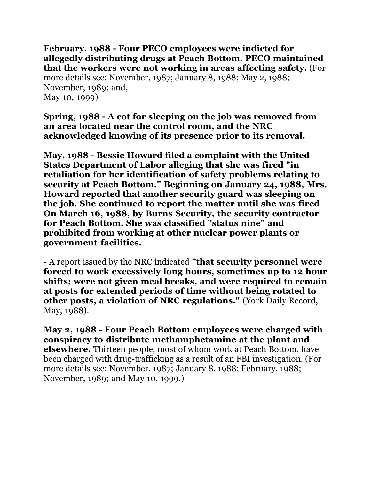**February, 1988 - Four PECO employees were indicted for allegedly distributing drugs at Peach Bottom. PECO maintained that the workers were not working in areas affecting safety.** (For more details see: November, 1987; January 8, 1988; May 2, 1988; November, 1989; and, May 10, 1999)

**Spring, 1988 - A cot for sleeping on the job was removed from an area located near the control room, and the NRC acknowledged knowing of its presence prior to its removal.**

**May, 1988 - Bessie Howard filed a complaint with the United States Department of Labor alleging that she was fired "in retaliation for her identification of safety problems relating to security at Peach Bottom." Beginning on January 24, 1988, Mrs. Howard reported that another security guard was sleeping on the job. She continued to report the matter until she was fired On March 16, 1988, by Burns Security, the security contractor for Peach Bottom. She was classified "status nine" and prohibited from working at other nuclear power plants or government facilities.**

- A report issued by the NRC indicated **"that security personnel were forced to work excessively long hours, sometimes up to 12 hour shifts; were not given meal breaks, and were required to remain at posts for extended periods of time without being rotated to other posts, a violation of NRC regulations."** (York Daily Record, May, 1988).

**May 2, 1988 - Four Peach Bottom employees were charged with conspiracy to distribute methamphetamine at the plant and elsewhere.** Thirteen people, most of whom work at Peach Bottom, have been charged with drug-trafficking as a result of an FBI investigation. (For more details see: November, 1987; January 8, 1988; February, 1988; November, 1989; and May 10, 1999.)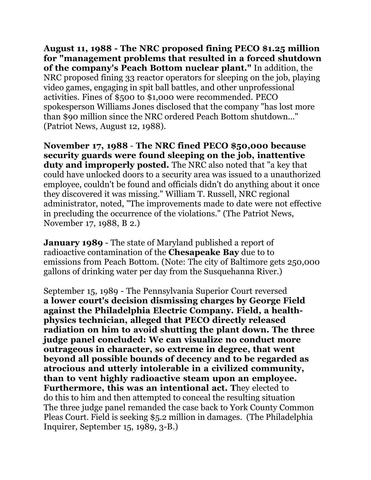**August 11, 1988 - The NRC proposed fining PECO \$1.25 million for "management problems that resulted in a forced shutdown of the company's Peach Bottom nuclear plant."** In addition, the NRC proposed fining 33 reactor operators for sleeping on the job, playing video games, engaging in spit ball battles, and other unprofessional activities. Fines of \$500 to \$1,000 were recommended. PECO spokesperson Williams Jones disclosed that the company "has lost more than \$90 million since the NRC ordered Peach Bottom shutdown..." (Patriot News, August 12, 1988).

**November 17, 1988** - **The NRC fined PECO \$50,000 because security guards were found sleeping on the job, inattentive duty and improperly posted.** The NRC also noted that "a key that could have unlocked doors to a security area was issued to a unauthorized employee, couldn't be found and officials didn't do anything about it once they discovered it was missing." William T. Russell, NRC regional administrator, noted, "The improvements made to date were not effective in precluding the occurrence of the violations." (The Patriot News, November 17, 1988, B 2.)

**January 1989** - The state of Maryland published a report of radioactive contamination of the **Chesapeake Bay** due to to emissions from Peach Bottom. (Note: The city of Baltimore gets 250,000 gallons of drinking water per day from the Susquehanna River.)

September 15, 1989 - The Pennsylvania Superior Court reversed **a lower court's decision dismissing charges by George Field against the Philadelphia Electric Company. Field, a healthphysics technician, alleged that PECO directly released radiation on him to avoid shutting the plant down. The three judge panel concluded: We can visualize no conduct more outrageous in character, so extreme in degree, that went beyond all possible bounds of decency and to be regarded as atrocious and utterly intolerable in a civilized community, than to vent highly radioactive steam upon an employee. Furthermore, this was an intentional act. T**hey elected to do this to him and then attempted to conceal the resulting situation The three judge panel remanded the case back to York County Common Pleas Court. Field is seeking \$5.2 million in damages. (The Philadelphia Inquirer, September 15, 1989, 3-B.)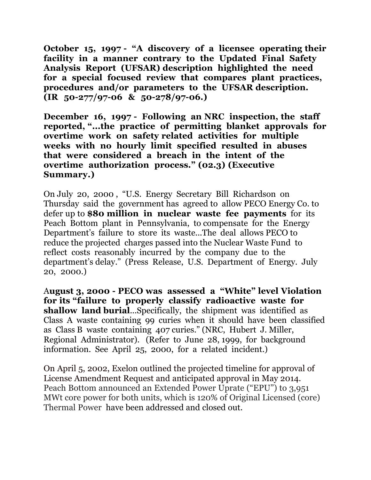**October 15, 1997 - "A discovery of a licensee operating their facility in a manner contrary to the Updated Final Safety Analysis Report (UFSAR) description highlighted the need for a special focused review that compares plant practices, procedures and/or parameters to the UFSAR description. (IR 50-277/97-06 & 50-278/97-06.)**

**December 16, 1997 - Following an NRC inspection, the staff reported, "...the practice of permitting blanket approvals for overtime work on safety related activities for multiple weeks with no hourly limit specified resulted in abuses that were considered a breach in the intent of the overtime authorization process." (02.3) (Executive Summary.)**

On July 20, 2000 , "U.S. Energy Secretary Bill Richardson on Thursday said the government has agreed to allow PECO Energy Co. to defer up to **\$80 million in nuclear waste fee payments** for its Peach Bottom plant in Pennsylvania, to compensate for the Energy Department's failure to store its waste...The deal allows PECO to reduce the projected charges passed into the Nuclear Waste Fund to reflect costs reasonably incurred by the company due to the department's delay." (Press Release, U.S. Department of Energy. July 20, 2000.)

A**ugust 3, 2000 - PECO was assessed a "White" level Violation for its "failure to properly classify radioactive waste for shallow land burial**...Specifically, the shipment was identified as Class A waste containing 99 curies when it should have been classified as Class B waste containing 407 curies." (NRC, Hubert J. Miller, Regional Administrator). (Refer to June 28, 1999, for background information. See April 25, 2000, for a related incident.)

On April 5, 2002, Exelon outlined the projected timeline for approval of License Amendment Request and anticipated approval in May 2014. Peach Bottom announced an Extended Power Uprate ("EPU") to 3,951 MWt core power for both units, which is 120% of Original Licensed (core) Thermal Power have been addressed and closed out.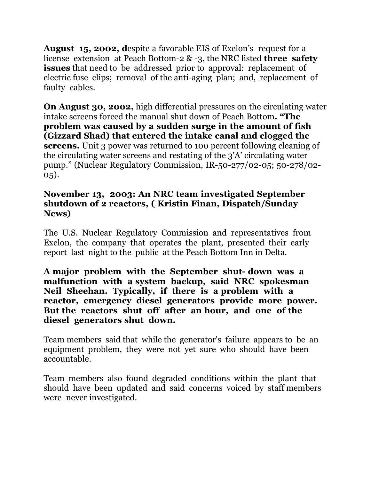**August 15, 2002, d**espite a favorable EIS of Exelon's request for a license extension at Peach Bottom-2 & -3, the NRC listed **three safety issues** that need to be addressed prior to approval: replacement of electric fuse clips; removal of the anti-aging plan; and, replacement of faulty cables.

**On August 30, 2002,** high differential pressures on the circulating water intake screens forced the manual shut down of Peach Bottom**. "The problem was caused by a sudden surge in the amount of fish (Gizzard Shad) that entered the intake canal and clogged the screens.** Unit 3 power was returned to 100 percent following cleaning of the circulating water screens and restating of the 3'A' circulating water pump." (Nuclear Regulatory Commission, IR-50-277/02-05; 50-278/02- 05).

#### **November 13, 2003: An NRC team investigated September shutdown of 2 reactors, ( Kristin Finan, Dispatch/Sunday News)**

The U.S. Nuclear Regulatory Commission and representatives from Exelon, the company that operates the plant, presented their early report last night to the public at the Peach Bottom Inn in Delta.

**A major problem with the September shut- down was a malfunction with a system backup, said NRC spokesman Neil Sheehan. Typically, if there is a problem with a reactor, emergency diesel generators provide more power. But the reactors shut off after an hour, and one of the diesel generators shut down.** 

Team members said that while the generator's failure appears to be an equipment problem, they were not yet sure who should have been accountable.

Team members also found degraded conditions within the plant that should have been updated and said concerns voiced by staff members were never investigated.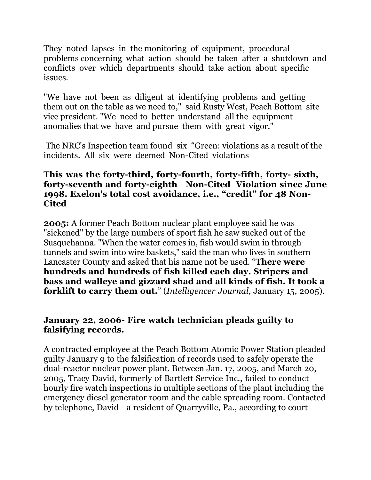They noted lapses in the monitoring of equipment, procedural problems concerning what action should be taken after a shutdown and conflicts over which departments should take action about specific issues.

"We have not been as diligent at identifying problems and getting them out on the table as we need to," said Rusty West, Peach Bottom site vice president. "We need to better understand all the equipment anomalies that we have and pursue them with great vigor."

The NRC's Inspection team found six "Green: violations as a result of the incidents. All six were deemed Non-Cited violations

### **This was the forty-third, forty-fourth, forty-fifth, forty- sixth, forty-seventh and forty-eighth Non-Cited Violation since June 1998. Exelon's total cost avoidance, i.e., "credit" for 48 Non-Cited**

**2005:** A former Peach Bottom nuclear plant employee said he was "sickened" by the large numbers of sport fish he saw sucked out of the Susquehanna. "When the water comes in, fish would swim in through tunnels and swim into wire baskets," said the man who lives in southern Lancaster County and asked that his name not be used. "**There were hundreds and hundreds of fish killed each day. Stripers and bass and walleye and gizzard shad and all kinds of fish. It took a forklift to carry them out.**" (*Intelligencer Journal*, January 15, 2005).

## **January 22, 2006- Fire watch technician pleads guilty to falsifying records.**

A contracted employee at the Peach Bottom Atomic Power Station pleaded guilty January 9 to the falsification of records used to safely operate the dual-reactor nuclear power plant. Between Jan. 17, 2005, and March 20, 2005, Tracy David, formerly of Bartlett Service Inc., failed to conduct hourly fire watch inspections in multiple sections of the plant including the emergency diesel generator room and the cable spreading room. Contacted by telephone, David - a resident of Quarryville, Pa., according to court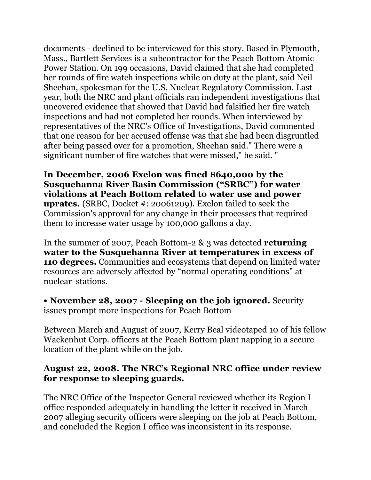documents - declined to be interviewed for this story. Based in Plymouth, Mass., Bartlett Services is a subcontractor for the Peach Bottom Atomic Power Station. On 199 occasions, David claimed that she had completed her rounds of fire watch inspections while on duty at the plant, said Neil Sheehan, spokesman for the U.S. Nuclear Regulatory Commission. Last year, both the NRC and plant officials ran independent investigations that uncovered evidence that showed that David had falsified her fire watch inspections and had not completed her rounds. When interviewed by representatives of the NRC's Office of Investigations, David commented that one reason for her accused offense was that she had been disgruntled after being passed over for a promotion, Sheehan said." There were a significant number of fire watches that were missed," he said. "

**In December, 2006 Exelon was fined \$640,000 by the Susquehanna River Basin Commission ("SRBC") for water violations at Peach Bottom related to water use and power uprates.** (SRBC, Docket #: 20061209). Exelon failed to seek the Commission's approval for any change in their processes that required them to increase water usage by 100,000 gallons a day.

In the summer of 2007, Peach Bottom-2 & 3 was detected **returning water to the Susquehanna River at temperatures in excess of 110 degrees.** Communities and ecosystems that depend on limited water resources are adversely affected by "normal operating conditions" at nuclear stations.

**• November 28, 2007 - Sleeping on the job ignored.** Security issues prompt more inspections for Peach Bottom

Between March and August of 2007, Kerry Beal videotaped 10 of his fellow Wackenhut Corp. officers at the Peach Bottom plant napping in a secure location of the plant while on the job.

## **August 22, 2008. The NRC's Regional NRC office under review for response to sleeping guards.**

The NRC Office of the Inspector General reviewed whether its Region I office responded adequately in handling the letter it received in March 2007 alleging security officers were sleeping on the job at Peach Bottom, and concluded the Region I office was inconsistent in its response.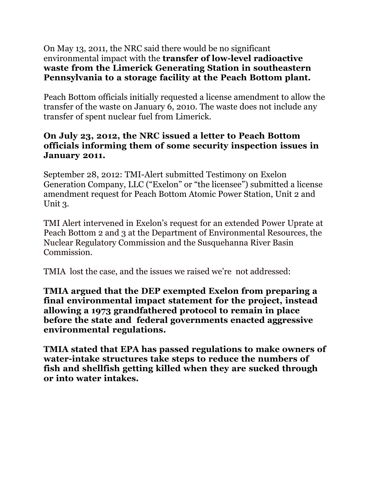### On May 13, 2011, the NRC said there would be no significant environmental impact with the **transfer of low-level radioactive waste from the Limerick Generating Station in southeastern Pennsylvania to a storage facility at the Peach Bottom plant.**

Peach Bottom officials initially requested a license amendment to allow the transfer of the waste on January 6, 2010. The waste does not include any transfer of spent nuclear fuel from Limerick.

### **On July 23, 2012, the NRC issued a letter to Peach Bottom officials informing them of some security inspection issues in January 2011.**

September 28, 2012: TMI-Alert submitted Testimony on Exelon Generation Company, LLC ("Exelon" or "the licensee") submitted a license amendment request for Peach Bottom Atomic Power Station, Unit 2 and Unit 3.

TMI Alert intervened in Exelon's request for an extended Power Uprate at Peach Bottom 2 and 3 at the Department of Environmental Resources, the Nuclear Regulatory Commission and the Susquehanna River Basin Commission.

TMIA lost the case, and the issues we raised we're not addressed:

**TMIA argued that the DEP exempted Exelon from preparing a final environmental impact statement for the project, instead allowing a 1973 grandfathered protocol to remain in place before the state and federal governments enacted aggressive environmental regulations.**

**TMIA stated that EPA has passed regulations to make owners of water-intake structures take steps to reduce the numbers of fish and shellfish getting killed when they are sucked through or into water intakes.**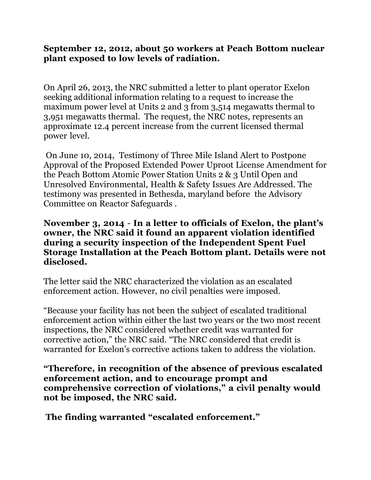### **September 12, 2012, about 50 workers at Peach Bottom nuclear plant exposed to low levels of radiation.**

On April 26, 2013, the NRC submitted a letter to plant operator Exelon seeking additional information relating to a request to increase the maximum power level at Units 2 and 3 from 3,514 megawatts thermal to 3,951 megawatts thermal. The request, the NRC notes, represents an approximate 12.4 percent increase from the current licensed thermal power level.

On June 10, 2014, Testimony of Three Mile Island Alert to Postpone Approval of the Proposed Extended Power Uproot License Amendment for the Peach Bottom Atomic Power Station Units 2 & 3 Until Open and Unresolved Environmental, Health & Safety Issues Are Addressed. The testimony was presented in Bethesda, maryland before the Advisory Committee on Reactor Safeguards .

#### **November 3, 2014** - **In a letter to officials of Exelon, the plant's owner, the NRC said it found an apparent violation identified during a security inspection of the Independent Spent Fuel Storage Installation at the Peach Bottom plant. Details were not disclosed.**

The letter said the NRC characterized the violation as an escalated enforcement action. However, no civil penalties were imposed.

"Because your facility has not been the subject of escalated traditional enforcement action within either the last two years or the two most recent inspections, the NRC considered whether credit was warranted for corrective action," the NRC said. "The NRC considered that credit is warranted for Exelon's corrective actions taken to address the violation.

**"Therefore, in recognition of the absence of previous escalated enforcement action, and to encourage prompt and comprehensive correction of violations," a civil penalty would not be imposed, the NRC said.**

**The finding warranted "escalated enforcement."**